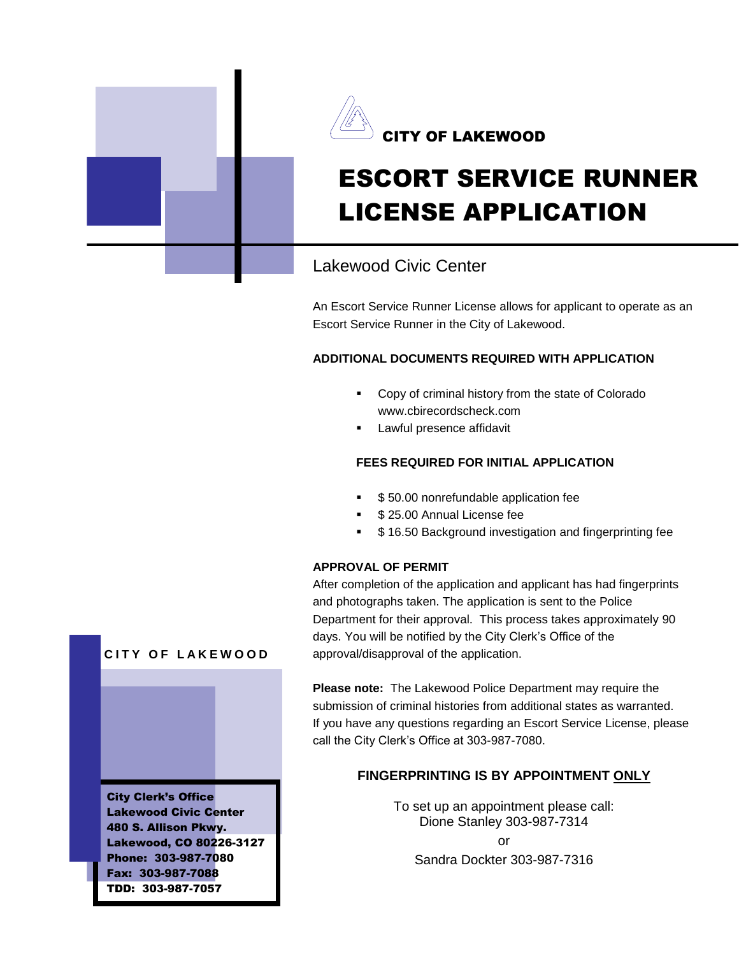



# ESCORT SERVICE RUNNER LICENSE APPLICATION

# Lakewood Civic Center

An Escort Service Runner License allows for applicant to operate as an Escort Service Runner in the City of Lakewood.

## **ADDITIONAL DOCUMENTS REQUIRED WITH APPLICATION**

- **Copy of criminal history from the state of Colorado** www.cbirecordscheck.com
- Lawful presence affidavit

#### **FEES REQUIRED FOR INITIAL APPLICATION**

- \$ 50.00 nonrefundable application fee
- \$ 25.00 Annual License fee
- \$ 16.50 Background investigation and fingerprinting fee

#### **APPROVAL OF PERMIT**

After completion of the application and applicant has had fingerprints and photographs taken. The application is sent to the Police Department for their approval. This process takes approximately 90 days. You will be notified by the City Clerk's Office of the approval/disapproval of the application.

**Please note:** The Lakewood Police Department may require the submission of criminal histories from additional states as warranted. If you have any questions regarding an Escort Service License, please call the City Clerk's Office at 303-987-7080.

## **FINGERPRINTING IS BY APPOINTMENT ONLY**

To set up an appointment please call: Dione Stanley 303-987-7314 or Sandra Dockter 303-987-7316



City Clerk's Office Lakewood Civic Center 480 S. Allison Pkwy. Lakewood, CO 80226-3127 Phone: 303-987-7080 Fax: 303-987-7088 TDD: 303-987-7057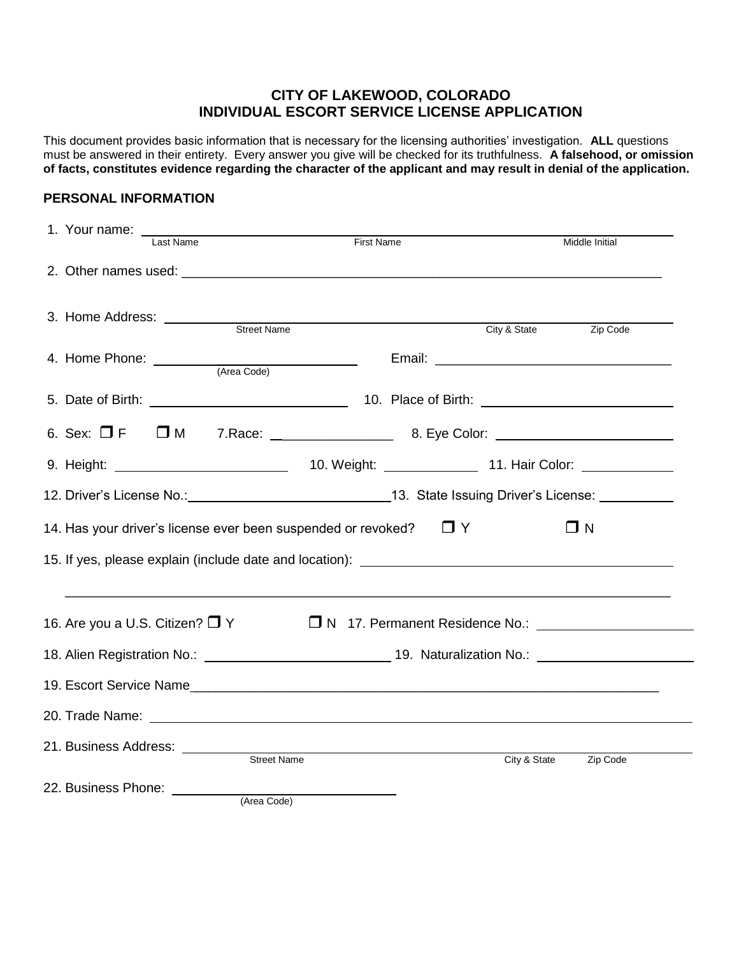# **CITY OF LAKEWOOD, COLORADO INDIVIDUAL ESCORT SERVICE LICENSE APPLICATION**

This document provides basic information that is necessary for the licensing authorities' investigation. **ALL** questions must be answered in their entirety. Every answer you give will be checked for its truthfulness. **A falsehood, or omission of facts, constitutes evidence regarding the character of the applicant and may result in denial of the application.**

#### **PERSONAL INFORMATION**

| 1. Your name: _<br>Last Name                                                                                   |             | <b>First Name</b>                                                                |              | Middle Initial |
|----------------------------------------------------------------------------------------------------------------|-------------|----------------------------------------------------------------------------------|--------------|----------------|
|                                                                                                                |             |                                                                                  |              |                |
| 3. Home Address: <u>Street Name</u>                                                                            |             |                                                                                  | City & State | Zip Code       |
| 4. Home Phone: <u>Carl (Area Code)</u>                                                                         |             |                                                                                  |              |                |
|                                                                                                                |             | 5. Date of Birth: 10. Place of Birth: 10. Place of Birth:                        |              |                |
|                                                                                                                |             | 6. Sex: □ F □ M 7. Race: _________________ 8. Eye Color: ______________________  |              |                |
|                                                                                                                |             |                                                                                  |              |                |
| 12. Driver's License No.: 18. Driver's License: 20. State Issuing Driver's License: 20. 20. 20. 20. 20. 20. 20 |             |                                                                                  |              |                |
|                                                                                                                |             | 14. Has your driver's license ever been suspended or revoked?                    | $\Box$ Y     | $\Box$ N       |
|                                                                                                                |             | 15. If yes, please explain (include date and location): ________________________ |              |                |
|                                                                                                                |             |                                                                                  |              |                |
| 16. Are you a U.S. Citizen? $\Box$ Y                                                                           |             |                                                                                  |              |                |
|                                                                                                                |             |                                                                                  |              |                |
|                                                                                                                |             |                                                                                  |              |                |
|                                                                                                                |             |                                                                                  |              |                |
| 21. Business Address: ________                                                                                 | Street Name |                                                                                  | City & State | Zip Code       |
| 22. Business Phone: _________                                                                                  | (Area Code) |                                                                                  |              |                |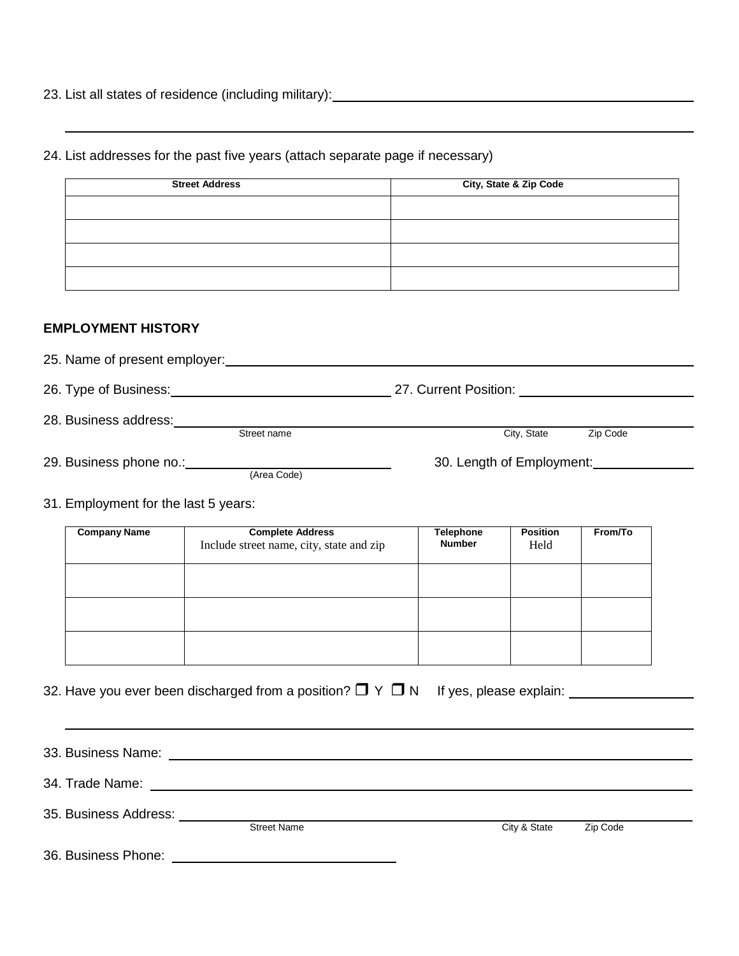23. List all states of residence (including military):

24. List addresses for the past five years (attach separate page if necessary)

| <b>Street Address</b> | City, State & Zip Code |
|-----------------------|------------------------|
|                       |                        |
|                       |                        |
|                       |                        |
|                       |                        |

#### **EMPLOYMENT HISTORY**

| 25. Name of present employer: |             |                           |          |
|-------------------------------|-------------|---------------------------|----------|
| 26. Type of Business:         |             | 27. Current Position:     |          |
| 28. Business address:         | Street name | City, State               | Zip Code |
| 29. Business phone no.:       | (Area Code) | 30. Length of Employment: |          |

31. Employment for the last 5 years:

| <b>Company Name</b> | <b>Complete Address</b><br>Include street name, city, state and zip | <b>Telephone</b><br><b>Number</b> | <b>Position</b><br>Held | From/To |
|---------------------|---------------------------------------------------------------------|-----------------------------------|-------------------------|---------|
|                     |                                                                     |                                   |                         |         |
|                     |                                                                     |                                   |                         |         |
|                     |                                                                     |                                   |                         |         |

32. Have you ever been discharged from a position? Y N If yes, please explain:

33. Business Name: 34. Trade Name: 35. Business Address: City & State Zip Code

36. Business Phone: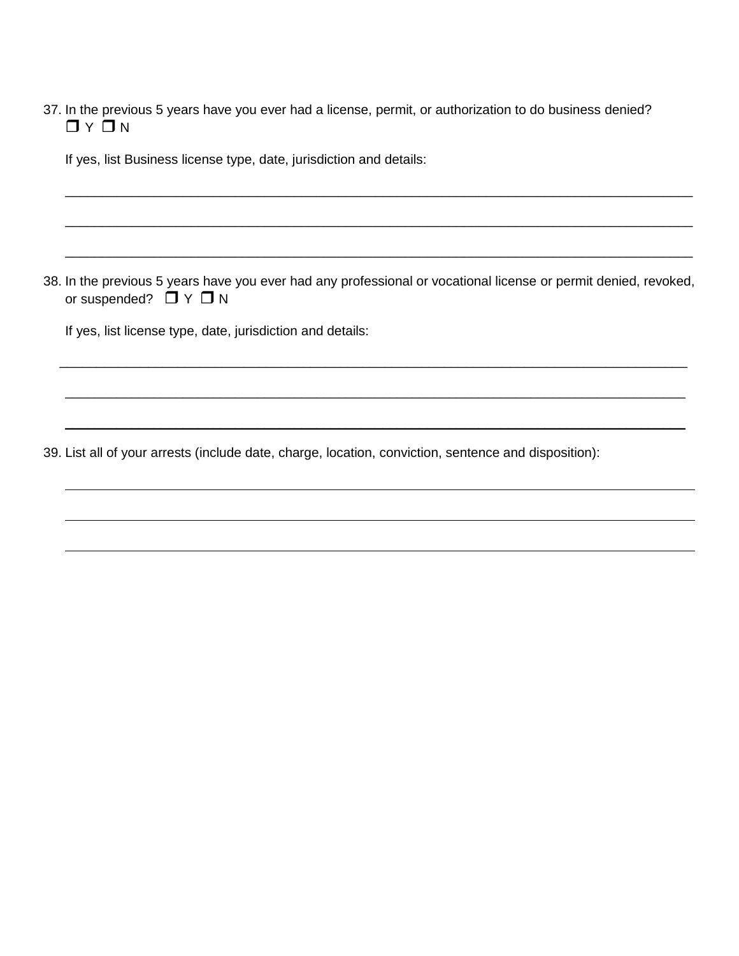37. In the previous 5 years have you ever had a license, permit, or authorization to do business denied?  $\Box$   $\vee$   $\Box$   $\vee$ 

If yes, list Business license type, date, jurisdiction and details:

38. In the previous 5 years have you ever had any professional or vocational license or permit denied, revoked, or suspended?  $\Box Y \Box N$ 

\_\_\_\_\_\_\_\_\_\_\_\_\_\_\_\_\_\_\_\_\_\_\_\_\_\_\_\_\_\_\_\_\_\_\_\_\_\_\_\_\_\_\_\_\_\_\_\_\_\_\_\_\_\_\_\_\_\_\_\_\_\_\_\_\_\_\_\_\_\_\_\_\_\_\_\_\_\_\_\_\_\_\_\_\_

\_\_\_\_\_\_\_\_\_\_\_\_\_\_\_\_\_\_\_\_\_\_\_\_\_\_\_\_\_\_\_\_\_\_\_\_\_\_\_\_\_\_\_\_\_\_\_\_\_\_\_\_\_\_\_\_\_\_\_\_\_\_\_\_\_\_\_\_\_\_\_\_\_\_\_\_\_\_\_\_\_\_\_\_

\_\_\_\_\_\_\_\_\_\_\_\_\_\_\_\_\_\_\_\_\_\_\_\_\_\_\_\_\_\_\_\_\_\_\_\_\_\_\_\_\_\_\_\_\_\_\_\_\_\_\_\_\_\_\_\_\_\_\_\_\_\_\_\_\_\_\_\_\_\_\_\_\_\_\_\_\_\_\_\_\_\_\_\_

\_\_\_\_\_\_\_\_\_\_\_\_\_\_\_\_\_\_\_\_\_\_\_\_\_\_\_\_\_\_\_\_\_\_\_\_\_\_\_\_\_\_\_\_\_\_\_\_\_\_\_\_\_\_\_\_\_\_\_\_\_\_\_\_\_\_\_\_\_\_\_\_\_\_\_\_\_\_\_\_\_\_\_\_\_

\_\_\_\_\_\_\_\_\_\_\_\_\_\_\_\_\_\_\_\_\_\_\_\_\_\_\_\_\_\_\_\_\_\_\_\_\_\_\_\_\_\_\_\_\_\_\_\_\_\_\_\_\_\_\_\_\_\_\_\_\_\_\_\_\_\_\_\_\_\_\_\_\_\_\_\_\_\_\_\_\_\_\_\_\_

\_\_\_\_\_\_\_\_\_\_\_\_\_\_\_\_\_\_\_\_\_\_\_\_\_\_\_\_\_\_\_\_\_\_\_\_\_\_\_\_\_\_\_\_\_\_\_\_\_\_\_\_\_\_\_\_\_\_\_\_\_\_\_\_\_\_\_\_\_\_\_\_\_\_\_\_\_\_\_\_\_\_\_\_\_

If yes, list license type, date, jurisdiction and details:

39. List all of your arrests (include date, charge, location, conviction, sentence and disposition):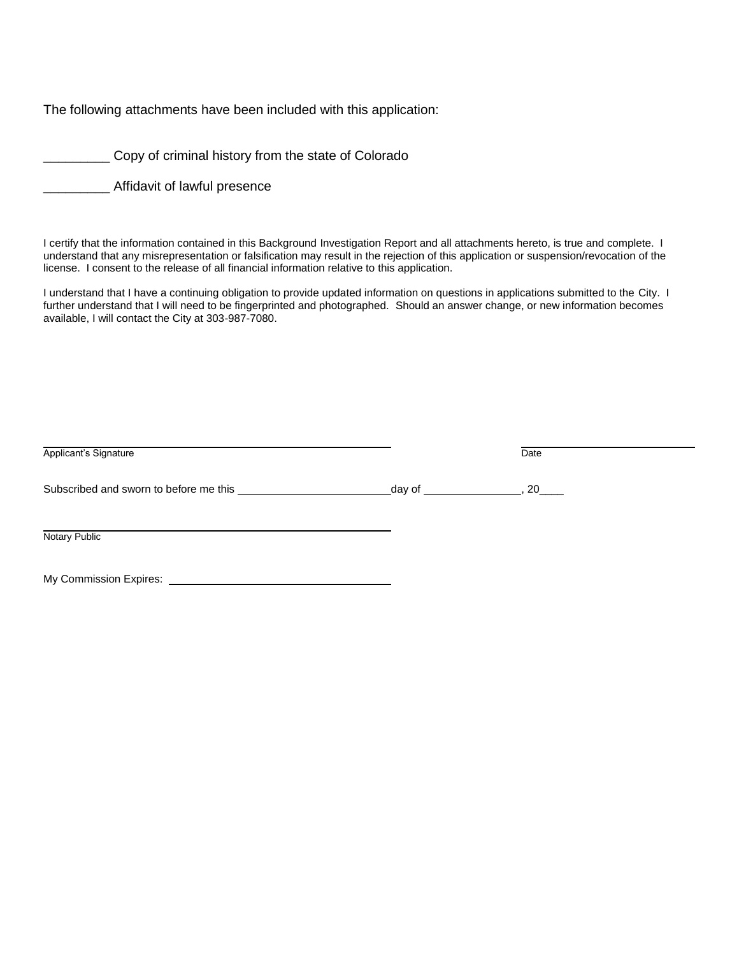The following attachments have been included with this application:

**Copy of criminal history from the state of Colorado** 

\_\_\_\_\_\_\_\_\_ Affidavit of lawful presence

I certify that the information contained in this Background Investigation Report and all attachments hereto, is true and complete. I understand that any misrepresentation or falsification may result in the rejection of this application or suspension/revocation of the license. I consent to the release of all financial information relative to this application.

I understand that I have a continuing obligation to provide updated information on questions in applications submitted to the City. I further understand that I will need to be fingerprinted and photographed. Should an answer change, or new information becomes available, I will contact the City at 303-987-7080.

| Applicant's Signature                  |           | Date |
|----------------------------------------|-----------|------|
| Subscribed and sworn to before me this | _day of _ | 20   |
| Notary Public                          |           |      |
| My Commission Expires:                 |           |      |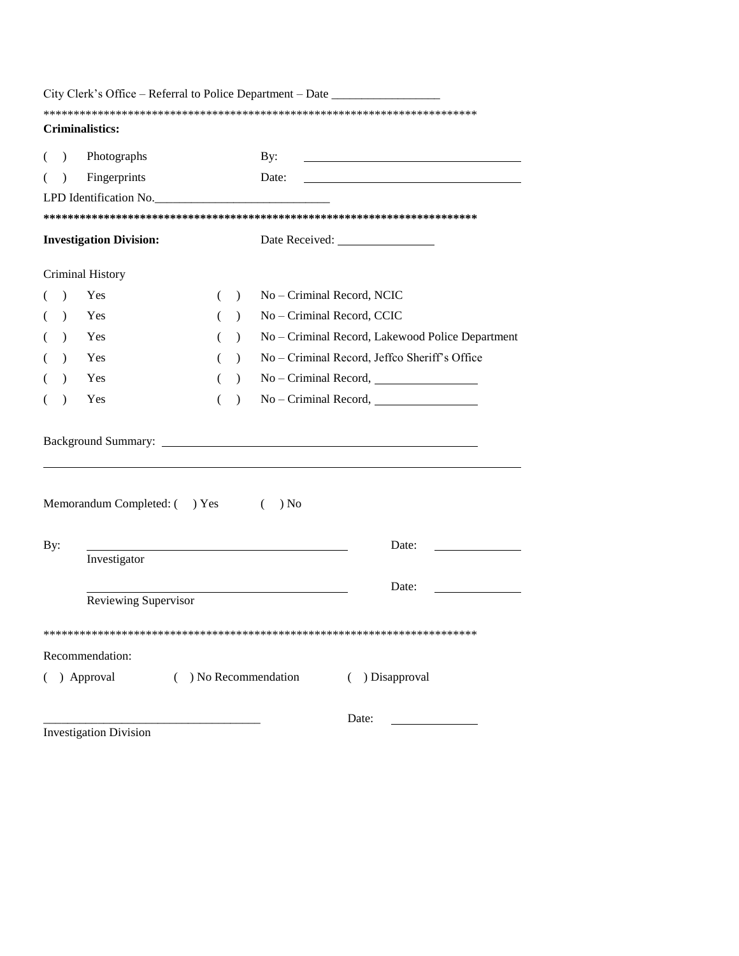| City Clerk's Office – Referral to Police Department – Date ______________ |                                                  |  |
|---------------------------------------------------------------------------|--------------------------------------------------|--|
|                                                                           |                                                  |  |
| Criminalistics:                                                           |                                                  |  |
| Photographs<br>By:<br>$\mathcal{L}$                                       |                                                  |  |
| Fingerprints<br>Date:<br>$\lambda$                                        |                                                  |  |
| LPD Identification No.                                                    |                                                  |  |
|                                                                           |                                                  |  |
| <b>Investigation Division:</b>                                            |                                                  |  |
| Criminal History                                                          |                                                  |  |
| No - Criminal Record, NCIC<br>Yes<br>$\lambda$<br>$\lambda$<br>€          |                                                  |  |
| No - Criminal Record, CCIC<br>Yes<br>$\lambda$<br>$\lambda$               |                                                  |  |
| Yes<br>$\lambda$<br>$\lambda$                                             | No - Criminal Record, Lakewood Police Department |  |
| Yes<br>$\lambda$<br>$\lambda$                                             | No - Criminal Record, Jeffco Sheriff's Office    |  |
| Yes<br>$\lambda$<br>$\mathcal{L}$<br>(                                    |                                                  |  |
| Yes<br>$\lambda$<br>$\lambda$<br>(                                        |                                                  |  |
|                                                                           |                                                  |  |
| Memorandum Completed: () Yes<br>) No<br>$\left($                          |                                                  |  |
| By:                                                                       | Date:                                            |  |
| Investigator                                                              |                                                  |  |
|                                                                           | Date:                                            |  |
| Reviewing Supervisor                                                      |                                                  |  |
|                                                                           |                                                  |  |
| Recommendation:                                                           |                                                  |  |
| ( ) Approval<br>$( )$ No Recommendation                                   | ( ) Disapproval                                  |  |
| <b>Investigation Division</b>                                             | Date:                                            |  |